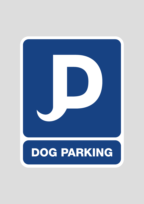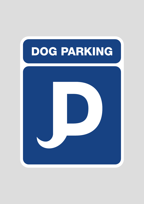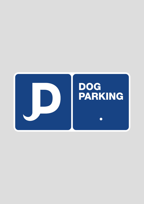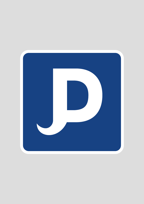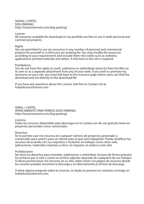SIGNAL/ CARTEL DOG PARKING http://horaciotorrent.com/dog-parking/

License

All resources available for download on my portfolio are free to use in both personal and commercial projects.

Rights

You are permitted to use my resources in any number of personal and commercial projects for yourself or a client you are working for. You may modify the resources according to your requirements and include them into works such as websites, applications, printed materials and others. A link back to this site is required.

## **Prohibitions**

You do not have the rights to resell, sublicense or redistribute (even for free) the files on its own or as a separate attachment from any of your work. If you wish to promote my resources on your site, you must link back to the resource page where users can find the download and not directly to the download file.

If you have any questions about the License, feel free to Contact me at hola@horaciotorrent.com

SEÑAL / CARTEL APARCAMIENTO PARA PERROS (DOG PARKING) http://horaciotorrent.com/dog-parking/

## Licencia

Todos los recursos disponibles para descargar en mi cartera son de uso gratuito tanto en proyectos personales como comerciales.

## Derechos

Se le permite usar mis recursos en cualquier número de proyectos personales y comerciales para usted o para un cliente para el que está trabajando. Puede modificar los recursos de acuerdo con sus requisitos e incluirlos en trabajos como sitios web, aplicaciones, materiales impresos y otros. Se requiere un enlace a este sitio.

## Prohibiciones

No tiene los derechos para revender, sublicenciar o redistribuir (incluso de forma gratuita) los archivos por sí solo o como un archivo adjunto separado de cualquiera de sus trabajos. Si desea promocionar mis recursos en su sitio, debe volver a la página de recursos donde los usuarios pueden encontrar la descarga y no directamente al archivo de descarga.

Si tiene alguna pregunta sobre la Licencia, no dude en ponerse en contacto conmigo en hola@horaciotorrent.com